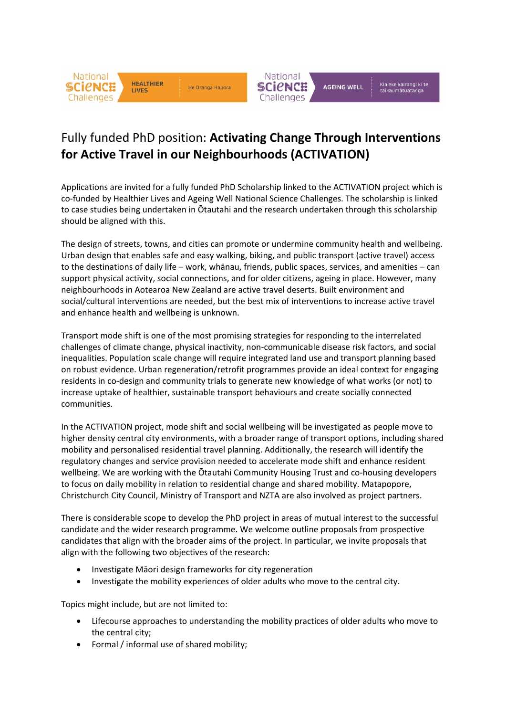



## Fully funded PhD position: **Activating Change Through Interventions for Active Travel in our Neighbourhoods (ACTIVATION)**

Applications are invited for a fully funded PhD Scholarship linked to the ACTIVATION project which is co-funded by Healthier Lives and Ageing Well National Science Challenges. The scholarship is linked to case studies being undertaken in Ōtautahi and the research undertaken through this scholarship should be aligned with this.

The design of streets, towns, and cities can promote or undermine community health and wellbeing. Urban design that enables safe and easy walking, biking, and public transport (active travel) access to the destinations of daily life – work, whānau, friends, public spaces, services, and amenities – can support physical activity, social connections, and for older citizens, ageing in place. However, many neighbourhoods in Aotearoa New Zealand are active travel deserts. Built environment and social/cultural interventions are needed, but the best mix of interventions to increase active travel and enhance health and wellbeing is unknown.

Transport mode shift is one of the most promising strategies for responding to the interrelated challenges of climate change, physical inactivity, non-communicable disease risk factors, and social inequalities. Population scale change will require integrated land use and transport planning based on robust evidence. Urban regeneration/retrofit programmes provide an ideal context for engaging residents in co-design and community trials to generate new knowledge of what works (or not) to increase uptake of healthier, sustainable transport behaviours and create socially connected communities.

In the ACTIVATION project, mode shift and social wellbeing will be investigated as people move to higher density central city environments, with a broader range of transport options, including shared mobility and personalised residential travel planning. Additionally, the research will identify the regulatory changes and service provision needed to accelerate mode shift and enhance resident wellbeing. We are working with the Ōtautahi Community Housing Trust and co-housing developers to focus on daily mobility in relation to residential change and shared mobility. Matapopore, Christchurch City Council, Ministry of Transport and NZTA are also involved as project partners.

There is considerable scope to develop the PhD project in areas of mutual interest to the successful candidate and the wider research programme. We welcome outline proposals from prospective candidates that align with the broader aims of the project. In particular, we invite proposals that align with the following two objectives of the research:

- Investigate Māori design frameworks for city regeneration
- Investigate the mobility experiences of older adults who move to the central city.

Topics might include, but are not limited to:

- Lifecourse approaches to understanding the mobility practices of older adults who move to the central city;
- Formal / informal use of shared mobility;